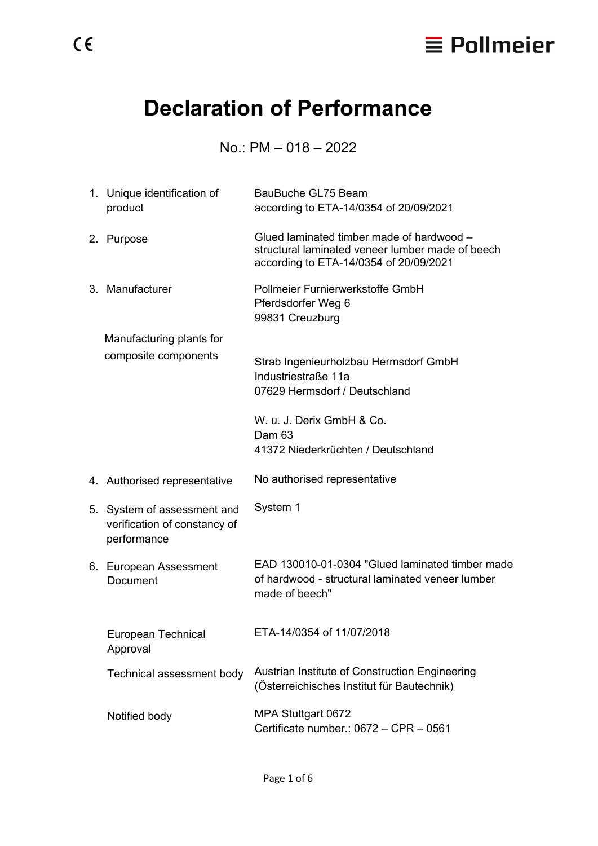

# **Declaration of Performance**

## No.: PM – 018 – 2022

| 1. Unique identification of<br>product                                     | BauBuche GL75 Beam<br>according to ETA-14/0354 of 20/09/2021                                                                            |
|----------------------------------------------------------------------------|-----------------------------------------------------------------------------------------------------------------------------------------|
| 2. Purpose                                                                 | Glued laminated timber made of hardwood -<br>structural laminated veneer lumber made of beech<br>according to ETA-14/0354 of 20/09/2021 |
| 3. Manufacturer                                                            | Pollmeier Furnierwerkstoffe GmbH<br>Pferdsdorfer Weg 6<br>99831 Creuzburg                                                               |
| Manufacturing plants for                                                   |                                                                                                                                         |
| composite components                                                       | Strab Ingenieurholzbau Hermsdorf GmbH<br>Industriestraße 11a                                                                            |
|                                                                            | 07629 Hermsdorf / Deutschland                                                                                                           |
|                                                                            | W. u. J. Derix GmbH & Co.<br>Dam 63                                                                                                     |
|                                                                            | 41372 Niederkrüchten / Deutschland                                                                                                      |
| 4. Authorised representative                                               | No authorised representative                                                                                                            |
| 5. System of assessment and<br>verification of constancy of<br>performance | System 1                                                                                                                                |
| 6. European Assessment<br><b>Document</b>                                  | EAD 130010-01-0304 "Glued laminated timber made<br>of hardwood - structural laminated veneer lumber<br>made of beech"                   |
| European Technical<br>Approval                                             | ETA-14/0354 of 11/07/2018                                                                                                               |
| Technical assessment body                                                  | Austrian Institute of Construction Engineering<br>(Österreichisches Institut für Bautechnik)                                            |
| Notified body                                                              | MPA Stuttgart 0672<br>Certificate number.: 0672 - CPR - 0561                                                                            |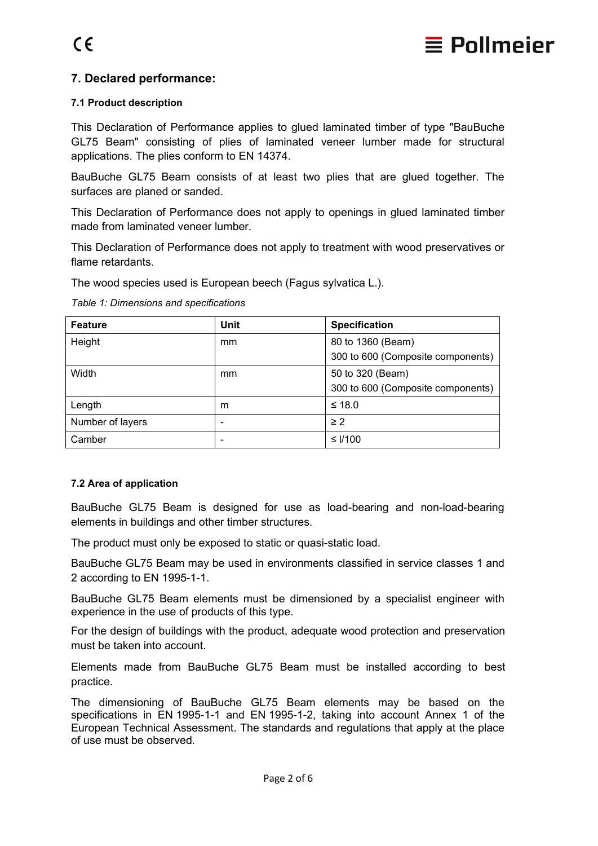

## **7. Declared performance:**

#### **7.1 Product description**

This Declaration of Performance applies to glued laminated timber of type "BauBuche GL75 Beam" consisting of plies of laminated veneer lumber made for structural applications. The plies conform to EN 14374.

BauBuche GL75 Beam consists of at least two plies that are glued together. The surfaces are planed or sanded.

This Declaration of Performance does not apply to openings in glued laminated timber made from laminated veneer lumber.

This Declaration of Performance does not apply to treatment with wood preservatives or flame retardants.

The wood species used is European beech (Fagus sylvatica L.).

*Table 1: Dimensions and specifications*

| <b>Feature</b>   | <b>Unit</b> | <b>Specification</b>              |
|------------------|-------------|-----------------------------------|
| Height           | mm          | 80 to 1360 (Beam)                 |
|                  |             | 300 to 600 (Composite components) |
| Width            | mm          | 50 to 320 (Beam)                  |
|                  |             | 300 to 600 (Composite components) |
| Length           | m           | $≤ 18.0$                          |
| Number of layers |             | $\geq$ 2                          |
| Camber           | -           | $≤$ I/100                         |

#### **7.2 Area of application**

BauBuche GL75 Beam is designed for use as load-bearing and non-load-bearing elements in buildings and other timber structures.

The product must only be exposed to static or quasi-static load.

BauBuche GL75 Beam may be used in environments classified in service classes 1 and 2 according to EN 1995-1-1.

BauBuche GL75 Beam elements must be dimensioned by a specialist engineer with experience in the use of products of this type.

For the design of buildings with the product, adequate wood protection and preservation must be taken into account.

Elements made from BauBuche GL75 Beam must be installed according to best practice.

The dimensioning of BauBuche GL75 Beam elements may be based on the specifications in EN 1995-1-1 and EN 1995-1-2, taking into account Annex 1 of the European Technical Assessment. The standards and regulations that apply at the place of use must be observed.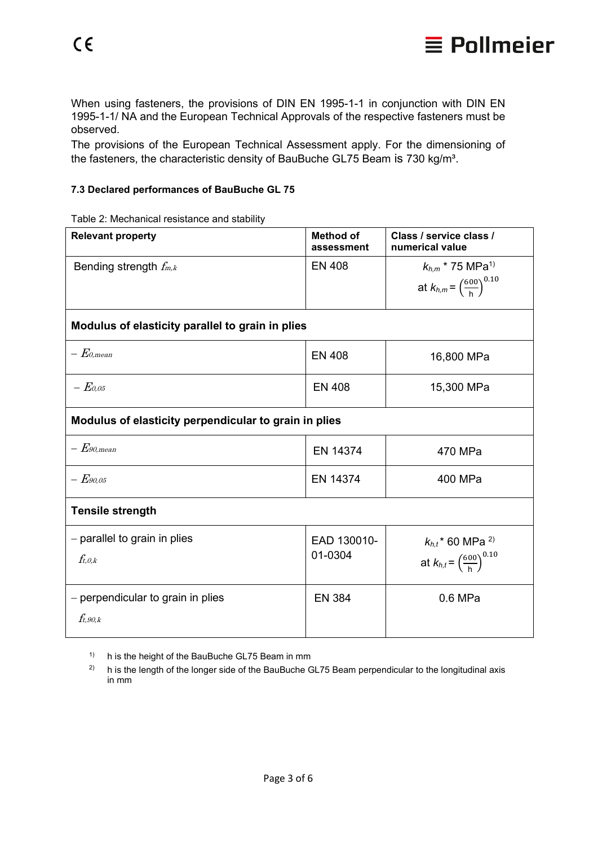

When using fasteners, the provisions of DIN EN 1995-1-1 in conjunction with DIN EN 1995-1-1/ NA and the European Technical Approvals of the respective fasteners must be observed.

The provisions of the European Technical Assessment apply. For the dimensioning of the fasteners, the characteristic density of BauBuche GL75 Beam is 730 kg/m<sup>3</sup>.

#### **7.3 Declared performances of BauBuche GL 75**

Table 2: Mechanical resistance and stability

| <b>Relevant property</b>                                  | <b>Method of</b><br>assessment | Class / service class /<br>numerical value                                           |  |
|-----------------------------------------------------------|--------------------------------|--------------------------------------------------------------------------------------|--|
| Bending strength $f_{m,k}$                                | <b>EN 408</b>                  | $k_{h,m}$ * 75 MPa <sup>1)</sup><br>at $k_{h,m} = \left(\frac{600}{h}\right)^{0.10}$ |  |
| Modulus of elasticity parallel to grain in plies          |                                |                                                                                      |  |
| $ E$ 0.mean                                               | <b>EN 408</b>                  | 16,800 MPa                                                                           |  |
| $- E_{0.05}$                                              | <b>EN 408</b>                  | 15,300 MPa                                                                           |  |
| Modulus of elasticity perpendicular to grain in plies     |                                |                                                                                      |  |
| $-\mathit{E}$ 90.mean                                     | EN 14374                       | 470 MPa                                                                              |  |
| $ E$ 90.05                                                | EN 14374                       | 400 MPa                                                                              |  |
| <b>Tensile strength</b>                                   |                                |                                                                                      |  |
| - parallel to grain in plies<br>$f_{t,0,k}$               | EAD 130010-<br>01-0304         | $k_{h,t}$ * 60 MPa <sup>2)</sup><br>at $k_{h,t} = \left(\frac{600}{h}\right)^{0.10}$ |  |
| - perpendicular to grain in plies<br>$f_{t.90\textit{k}}$ | <b>EN 384</b>                  | 0.6 MPa                                                                              |  |

<sup>1)</sup> h is the height of the BauBuche GL75 Beam in mm

 $2)$  h is the length of the longer side of the BauBuche GL75 Beam perpendicular to the longitudinal axis in mm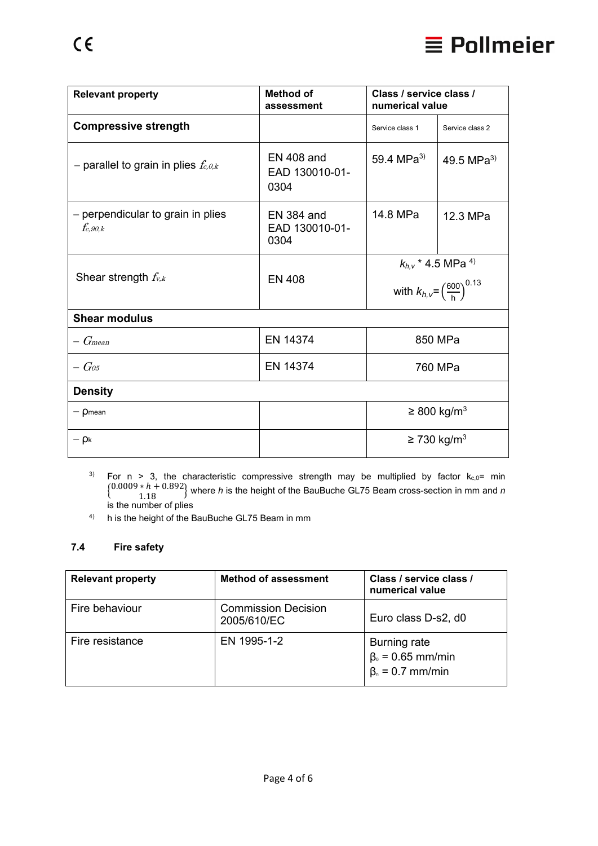

| <b>Relevant property</b>                          | Method of<br>assessment                     | Class / service class /<br>numerical value |                                                    |
|---------------------------------------------------|---------------------------------------------|--------------------------------------------|----------------------------------------------------|
| <b>Compressive strength</b>                       |                                             | Service class 1                            | Service class 2                                    |
| - parallel to grain in plies $f_{c,\theta,k}$     | EN 408 and<br>EAD 130010-01-<br>0304        | 59.4 MPa <sup>3)</sup>                     | 49.5 MPa <sup>3)</sup>                             |
| - perpendicular to grain in plies<br>$f_{c,90,k}$ | <b>EN 384 and</b><br>EAD 130010-01-<br>0304 | 14.8 MPa                                   | 12.3 MPa                                           |
|                                                   |                                             |                                            | $k_{h,v}$ * 4.5 MPa <sup>4)</sup>                  |
| Shear strength $f_{v,k}$                          | <b>EN 408</b>                               |                                            | with $k_{h,v} = \left(\frac{600}{h}\right)^{0.13}$ |
| <b>Shear modulus</b>                              |                                             |                                            |                                                    |
| G <sub>mean</sub>                                 | EN 14374                                    |                                            | 850 MPa                                            |

| $ G$ os        | EN 14374 | 760 MPa                      |
|----------------|----------|------------------------------|
| <b>Density</b> |          |                              |
| $-\rho$ mean   |          | $\geq$ 800 kg/m <sup>3</sup> |
| $-\rho_{k}$    |          | $\geq$ 730 kg/m <sup>3</sup> |

<sup>3)</sup> For n > 3, the characteristic compressive strength may be multiplied by factor  $k_{c,0}$ = min � 0.0009 ∗ ℎ + 0.892 1.18 � where *<sup>h</sup>* is the height of the BauBuche GL75 Beam cross-section in mm and *<sup>n</sup>* is the number of plies

4) h is the height of the BauBuche GL75 Beam in mm

#### **7.4 Fire safety**

| <b>Relevant property</b> | <b>Method of assessment</b>               | Class / service class /<br>numerical value                               |
|--------------------------|-------------------------------------------|--------------------------------------------------------------------------|
| Fire behaviour           | <b>Commission Decision</b><br>2005/610/EC | Euro class D-s2, d0                                                      |
| Fire resistance          | EN 1995-1-2                               | <b>Burning rate</b><br>$\beta_0$ = 0.65 mm/min<br>$\beta_n = 0.7$ mm/min |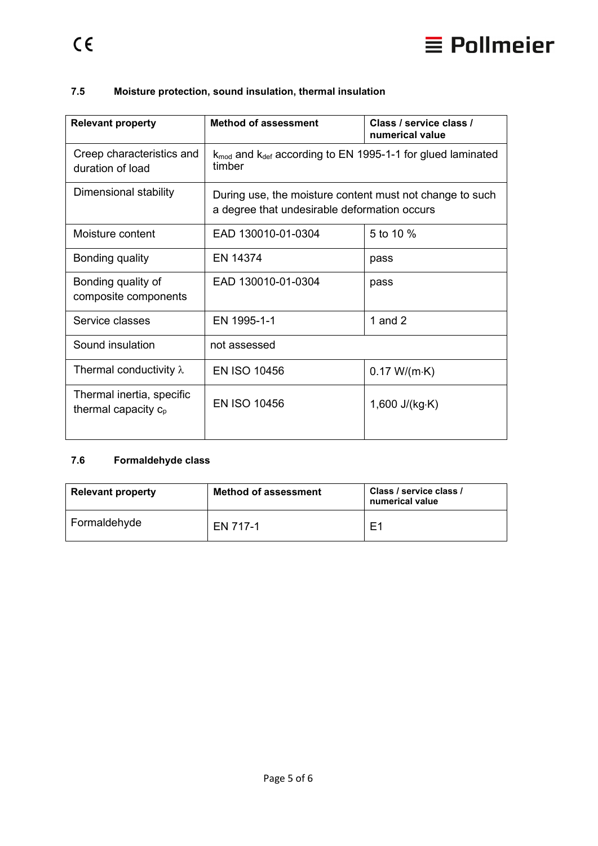

### **7.5 Moisture protection, sound insulation, thermal insulation**

| <b>Relevant property</b>                            | <b>Method of assessment</b>                                                                              | Class / service class /<br>numerical value |
|-----------------------------------------------------|----------------------------------------------------------------------------------------------------------|--------------------------------------------|
| Creep characteristics and<br>duration of load       | $k_{\text{mod}}$ and $k_{\text{def}}$ according to EN 1995-1-1 for glued laminated<br>timber             |                                            |
| Dimensional stability                               | During use, the moisture content must not change to such<br>a degree that undesirable deformation occurs |                                            |
| Moisture content                                    | EAD 130010-01-0304                                                                                       | 5 to 10 %                                  |
| Bonding quality                                     | EN 14374                                                                                                 | pass                                       |
| Bonding quality of<br>composite components          | EAD 130010-01-0304                                                                                       | pass                                       |
| Service classes                                     | EN 1995-1-1                                                                                              | 1 and $2$                                  |
| Sound insulation<br>not assessed                    |                                                                                                          |                                            |
| Thermal conductivity $\lambda$                      | <b>EN ISO 10456</b>                                                                                      | 0.17 W/(m·K)                               |
| Thermal inertia, specific<br>thermal capacity $c_p$ | <b>EN ISO 10456</b>                                                                                      | 1,600 $J/(kg·K)$                           |

## **7.6 Formaldehyde class**

| <b>Relevant property</b> | <b>Method of assessment</b> | Class / service class /<br>numerical value |
|--------------------------|-----------------------------|--------------------------------------------|
| Formaldehyde             | EN 717-1                    | E1                                         |